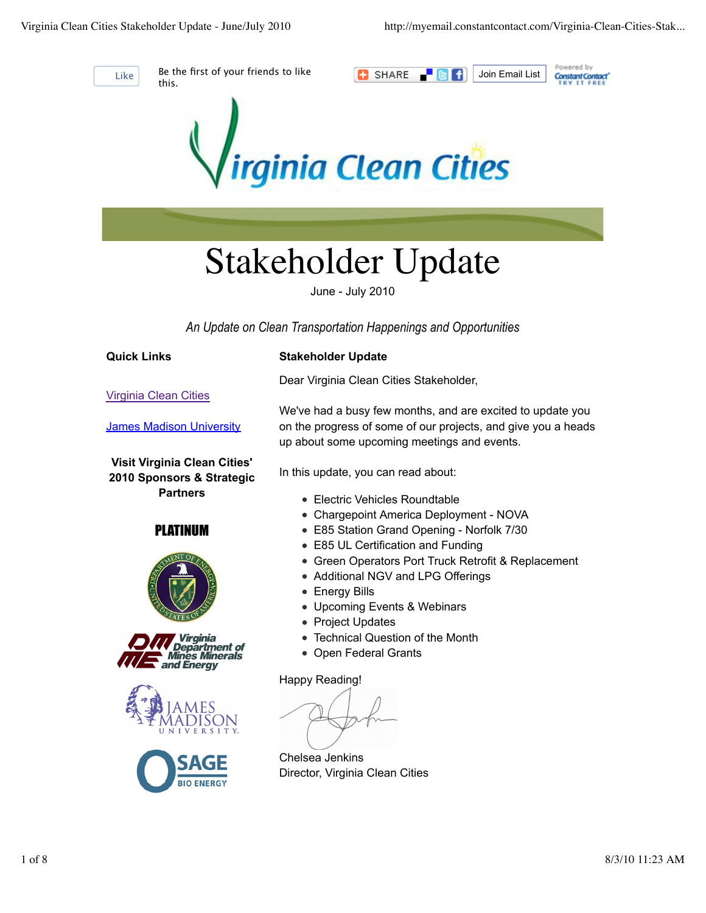

Like Be the first of your friends to like this.





# Stakeholder Update

June - July 2010

*An Update on Clean Transportation Happenings and Opportunities*

**Quick Links**

# **Stakeholder Update**

Dear Virginia Clean Cities Stakeholder,

Virginia Clean Cities

James Madison University

**Visit Virginia Clean Cities' 2010 Sponsors & Strategic Partners**

PLATINUM









We've had a busy few months, and are excited to update you on the progress of some of our projects, and give you a heads up about some upcoming meetings and events.

In this update, you can read about:

- Electric Vehicles Roundtable
- Chargepoint America Deployment NOVA
- E85 Station Grand Opening Norfolk 7/30
- E85 UL Certification and Funding
- Green Operators Port Truck Retrofit & Replacement
- Additional NGV and LPG Offerings
- Energy Bills
- Upcoming Events & Webinars
- Project Updates
- Technical Question of the Month
- Open Federal Grants

Happy Reading!

Chelsea Jenkins Director, Virginia Clean Cities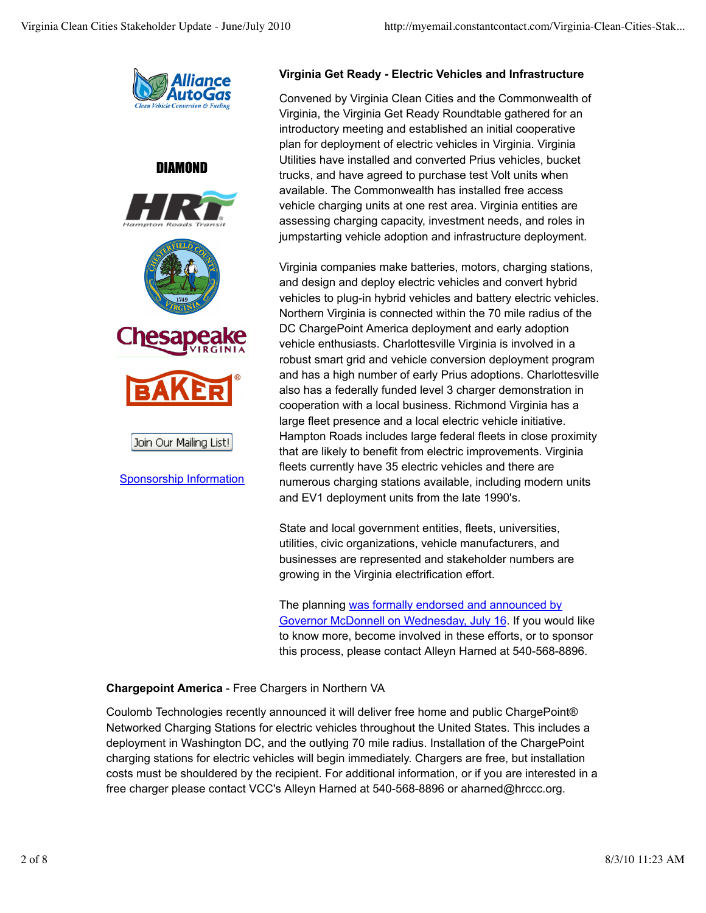

## DIAMOND





Join Our Mailing List!

Sponsorship Information

#### **Virginia Get Ready - Electric Vehicles and Infrastructure**

Convened by Virginia Clean Cities and the Commonwealth of Virginia, the Virginia Get Ready Roundtable gathered for an introductory meeting and established an initial cooperative plan for deployment of electric vehicles in Virginia. Virginia Utilities have installed and converted Prius vehicles, bucket trucks, and have agreed to purchase test Volt units when available. The Commonwealth has installed free access vehicle charging units at one rest area. Virginia entities are assessing charging capacity, investment needs, and roles in jumpstarting vehicle adoption and infrastructure deployment.

Virginia companies make batteries, motors, charging stations, and design and deploy electric vehicles and convert hybrid vehicles to plug-in hybrid vehicles and battery electric vehicles. Northern Virginia is connected within the 70 mile radius of the DC ChargePoint America deployment and early adoption vehicle enthusiasts. Charlottesville Virginia is involved in a robust smart grid and vehicle conversion deployment program and has a high number of early Prius adoptions. Charlottesville also has a federally funded level 3 charger demonstration in cooperation with a local business. Richmond Virginia has a large fleet presence and a local electric vehicle initiative. Hampton Roads includes large federal fleets in close proximity that are likely to benefit from electric improvements. Virginia fleets currently have 35 electric vehicles and there are numerous charging stations available, including modern units and EV1 deployment units from the late 1990's.

State and local government entities, fleets, universities, utilities, civic organizations, vehicle manufacturers, and businesses are represented and stakeholder numbers are growing in the Virginia electrification effort.

The planning was formally endorsed and announced by Governor McDonnell on Wednesday, July 16. If you would like to know more, become involved in these efforts, or to sponsor this process, please contact Alleyn Harned at 540-568-8896.

# **Chargepoint America** - Free Chargers in Northern VA

Coulomb Technologies recently announced it will deliver free home and public ChargePoint® Networked Charging Stations for electric vehicles throughout the United States. This includes a deployment in Washington DC, and the outlying 70 mile radius. Installation of the ChargePoint charging stations for electric vehicles will begin immediately. Chargers are free, but installation costs must be shouldered by the recipient. For additional information, or if you are interested in a free charger please contact VCC's Alleyn Harned at 540-568-8896 or aharned@hrccc.org.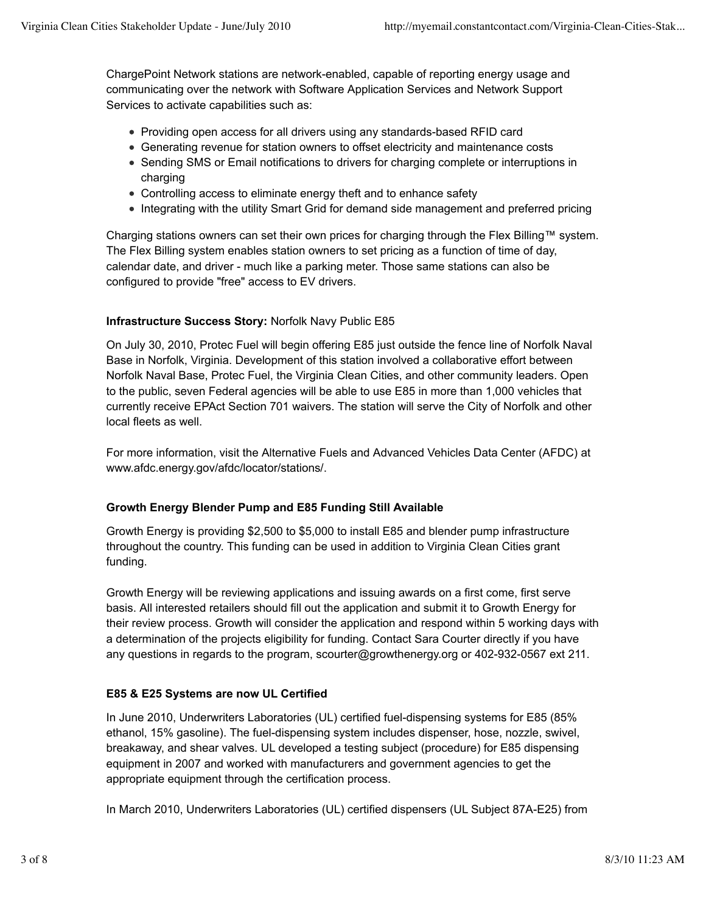ChargePoint Network stations are network-enabled, capable of reporting energy usage and communicating over the network with Software Application Services and Network Support Services to activate capabilities such as:

- Providing open access for all drivers using any standards-based RFID card
- Generating revenue for station owners to offset electricity and maintenance costs
- Sending SMS or Email notifications to drivers for charging complete or interruptions in charging
- Controlling access to eliminate energy theft and to enhance safety
- Integrating with the utility Smart Grid for demand side management and preferred pricing

Charging stations owners can set their own prices for charging through the Flex Billing™ system. The Flex Billing system enables station owners to set pricing as a function of time of day, calendar date, and driver - much like a parking meter. Those same stations can also be configured to provide "free" access to EV drivers.

## **Infrastructure Success Story:** Norfolk Navy Public E85

On July 30, 2010, Protec Fuel will begin offering E85 just outside the fence line of Norfolk Naval Base in Norfolk, Virginia. Development of this station involved a collaborative effort between Norfolk Naval Base, Protec Fuel, the Virginia Clean Cities, and other community leaders. Open to the public, seven Federal agencies will be able to use E85 in more than 1,000 vehicles that currently receive EPAct Section 701 waivers. The station will serve the City of Norfolk and other local fleets as well.

For more information, visit the Alternative Fuels and Advanced Vehicles Data Center (AFDC) at www.afdc.energy.gov/afdc/locator/stations/.

## **Growth Energy Blender Pump and E85 Funding Still Available**

Growth Energy is providing \$2,500 to \$5,000 to install E85 and blender pump infrastructure throughout the country. This funding can be used in addition to Virginia Clean Cities grant funding.

Growth Energy will be reviewing applications and issuing awards on a first come, first serve basis. All interested retailers should fill out the application and submit it to Growth Energy for their review process. Growth will consider the application and respond within 5 working days with a determination of the projects eligibility for funding. Contact Sara Courter directly if you have any questions in regards to the program, scourter@growthenergy.org or 402-932-0567 ext 211.

# **E85 & E25 Systems are now UL Certified**

In June 2010, Underwriters Laboratories (UL) certified fuel-dispensing systems for E85 (85% ethanol, 15% gasoline). The fuel-dispensing system includes dispenser, hose, nozzle, swivel, breakaway, and shear valves. UL developed a testing subject (procedure) for E85 dispensing equipment in 2007 and worked with manufacturers and government agencies to get the appropriate equipment through the certification process.

In March 2010, Underwriters Laboratories (UL) certified dispensers (UL Subject 87A-E25) from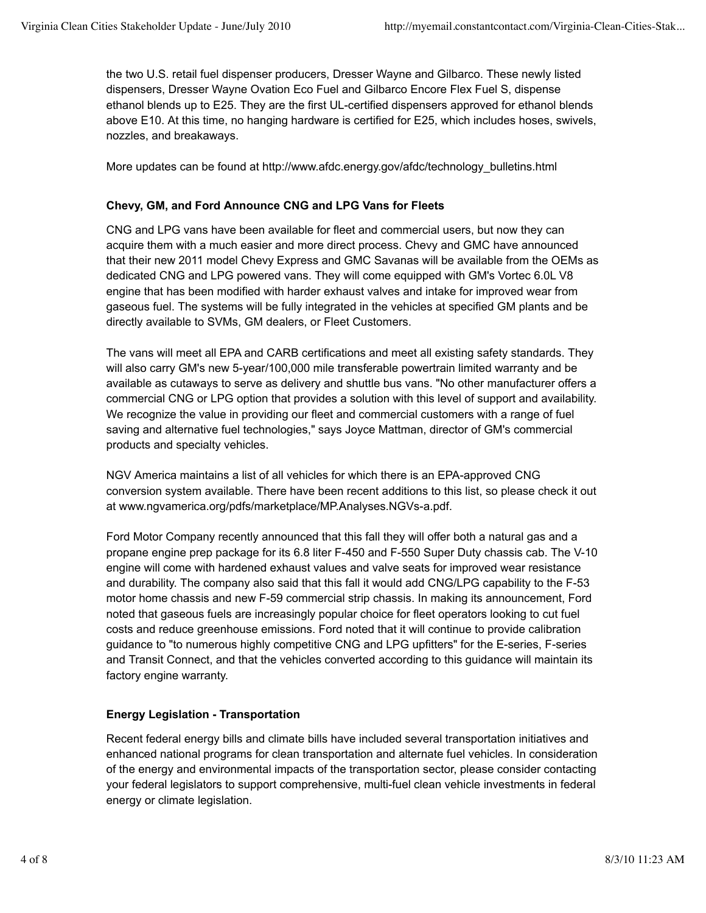the two U.S. retail fuel dispenser producers, Dresser Wayne and Gilbarco. These newly listed dispensers, Dresser Wayne Ovation Eco Fuel and Gilbarco Encore Flex Fuel S, dispense ethanol blends up to E25. They are the first UL-certified dispensers approved for ethanol blends above E10. At this time, no hanging hardware is certified for E25, which includes hoses, swivels, nozzles, and breakaways.

More updates can be found at http://www.afdc.energy.gov/afdc/technology\_bulletins.html

#### **Chevy, GM, and Ford Announce CNG and LPG Vans for Fleets**

CNG and LPG vans have been available for fleet and commercial users, but now they can acquire them with a much easier and more direct process. Chevy and GMC have announced that their new 2011 model Chevy Express and GMC Savanas will be available from the OEMs as dedicated CNG and LPG powered vans. They will come equipped with GM's Vortec 6.0L V8 engine that has been modified with harder exhaust valves and intake for improved wear from gaseous fuel. The systems will be fully integrated in the vehicles at specified GM plants and be directly available to SVMs, GM dealers, or Fleet Customers.

The vans will meet all EPA and CARB certifications and meet all existing safety standards. They will also carry GM's new 5-year/100,000 mile transferable powertrain limited warranty and be available as cutaways to serve as delivery and shuttle bus vans. "No other manufacturer offers a commercial CNG or LPG option that provides a solution with this level of support and availability. We recognize the value in providing our fleet and commercial customers with a range of fuel saving and alternative fuel technologies," says Joyce Mattman, director of GM's commercial products and specialty vehicles.

NGV America maintains a list of all vehicles for which there is an EPA-approved CNG conversion system available. There have been recent additions to this list, so please check it out at www.ngvamerica.org/pdfs/marketplace/MP.Analyses.NGVs-a.pdf.

Ford Motor Company recently announced that this fall they will offer both a natural gas and a propane engine prep package for its 6.8 liter F-450 and F-550 Super Duty chassis cab. The V-10 engine will come with hardened exhaust values and valve seats for improved wear resistance and durability. The company also said that this fall it would add CNG/LPG capability to the F-53 motor home chassis and new F-59 commercial strip chassis. In making its announcement, Ford noted that gaseous fuels are increasingly popular choice for fleet operators looking to cut fuel costs and reduce greenhouse emissions. Ford noted that it will continue to provide calibration guidance to "to numerous highly competitive CNG and LPG upfitters" for the E-series, F-series and Transit Connect, and that the vehicles converted according to this guidance will maintain its factory engine warranty.

#### **Energy Legislation - Transportation**

Recent federal energy bills and climate bills have included several transportation initiatives and enhanced national programs for clean transportation and alternate fuel vehicles. In consideration of the energy and environmental impacts of the transportation sector, please consider contacting your federal legislators to support comprehensive, multi-fuel clean vehicle investments in federal energy or climate legislation.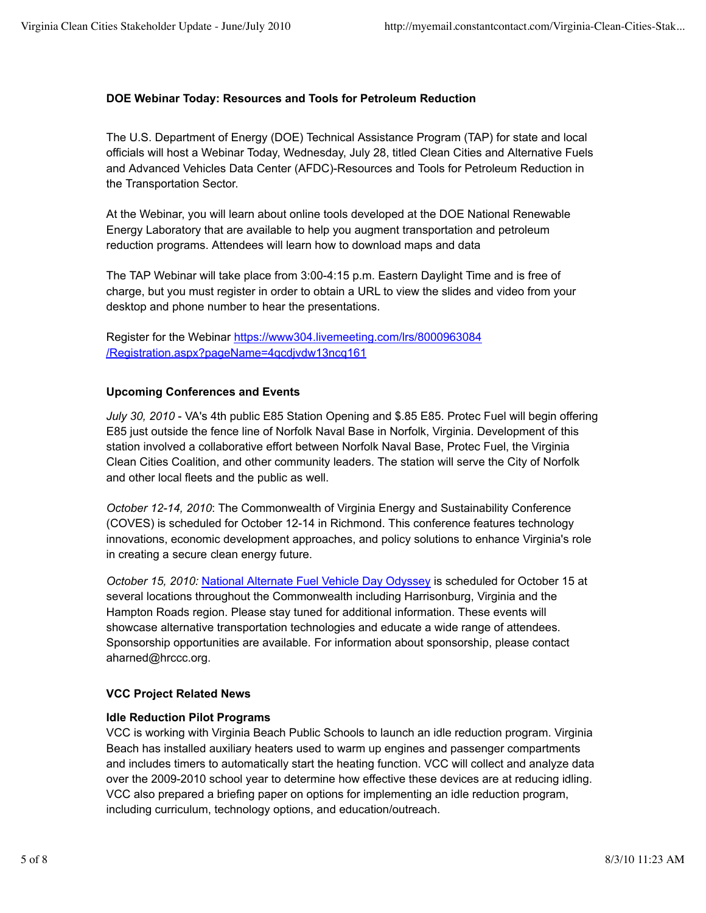## **DOE Webinar Today: Resources and Tools for Petroleum Reduction**

The U.S. Department of Energy (DOE) Technical Assistance Program (TAP) for state and local officials will host a Webinar Today, Wednesday, July 28, titled Clean Cities and Alternative Fuels and Advanced Vehicles Data Center (AFDC)-Resources and Tools for Petroleum Reduction in the Transportation Sector.

At the Webinar, you will learn about online tools developed at the DOE National Renewable Energy Laboratory that are available to help you augment transportation and petroleum reduction programs. Attendees will learn how to download maps and data

The TAP Webinar will take place from 3:00-4:15 p.m. Eastern Daylight Time and is free of charge, but you must register in order to obtain a URL to view the slides and video from your desktop and phone number to hear the presentations.

Register for the Webinar https://www304.livemeeting.com/lrs/8000963084 /Registration.aspx?pageName=4qcdjvdw13ncq161

#### **Upcoming Conferences and Events**

*July 30, 2010* - VA's 4th public E85 Station Opening and \$.85 E85. Protec Fuel will begin offering E85 just outside the fence line of Norfolk Naval Base in Norfolk, Virginia. Development of this station involved a collaborative effort between Norfolk Naval Base, Protec Fuel, the Virginia Clean Cities Coalition, and other community leaders. The station will serve the City of Norfolk and other local fleets and the public as well.

*October 12-14, 2010*: The Commonwealth of Virginia Energy and Sustainability Conference (COVES) is scheduled for October 12-14 in Richmond. This conference features technology innovations, economic development approaches, and policy solutions to enhance Virginia's role in creating a secure clean energy future.

*October 15, 2010:* National Alternate Fuel Vehicle Day Odyssey is scheduled for October 15 at several locations throughout the Commonwealth including Harrisonburg, Virginia and the Hampton Roads region. Please stay tuned for additional information. These events will showcase alternative transportation technologies and educate a wide range of attendees. Sponsorship opportunities are available. For information about sponsorship, please contact aharned@hrccc.org.

## **VCC Project Related News**

## **Idle Reduction Pilot Programs**

VCC is working with Virginia Beach Public Schools to launch an idle reduction program. Virginia Beach has installed auxiliary heaters used to warm up engines and passenger compartments and includes timers to automatically start the heating function. VCC will collect and analyze data over the 2009-2010 school year to determine how effective these devices are at reducing idling. VCC also prepared a briefing paper on options for implementing an idle reduction program, including curriculum, technology options, and education/outreach.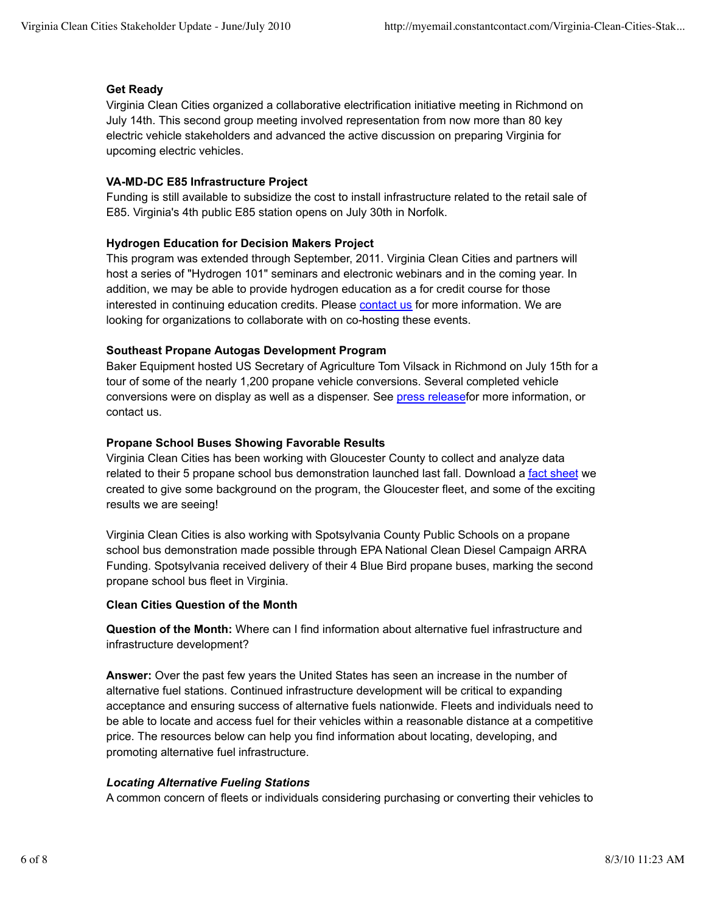## **Get Ready**

Virginia Clean Cities organized a collaborative electrification initiative meeting in Richmond on July 14th. This second group meeting involved representation from now more than 80 key electric vehicle stakeholders and advanced the active discussion on preparing Virginia for upcoming electric vehicles.

#### **VA-MD-DC E85 Infrastructure Project**

Funding is still available to subsidize the cost to install infrastructure related to the retail sale of E85. Virginia's 4th public E85 station opens on July 30th in Norfolk.

#### **Hydrogen Education for Decision Makers Project**

This program was extended through September, 2011. Virginia Clean Cities and partners will host a series of "Hydrogen 101" seminars and electronic webinars and in the coming year. In addition, we may be able to provide hydrogen education as a for credit course for those interested in continuing education credits. Please contact us for more information. We are looking for organizations to collaborate with on co-hosting these events.

#### **Southeast Propane Autogas Development Program**

Baker Equipment hosted US Secretary of Agriculture Tom Vilsack in Richmond on July 15th for a tour of some of the nearly 1,200 propane vehicle conversions. Several completed vehicle conversions were on display as well as a dispenser. See press releasefor more information, or contact us.

#### **Propane School Buses Showing Favorable Results**

Virginia Clean Cities has been working with Gloucester County to collect and analyze data related to their 5 propane school bus demonstration launched last fall. Download a fact sheet we created to give some background on the program, the Gloucester fleet, and some of the exciting results we are seeing!

Virginia Clean Cities is also working with Spotsylvania County Public Schools on a propane school bus demonstration made possible through EPA National Clean Diesel Campaign ARRA Funding. Spotsylvania received delivery of their 4 Blue Bird propane buses, marking the second propane school bus fleet in Virginia.

#### **Clean Cities Question of the Month**

**Question of the Month:** Where can I find information about alternative fuel infrastructure and infrastructure development?

**Answer:** Over the past few years the United States has seen an increase in the number of alternative fuel stations. Continued infrastructure development will be critical to expanding acceptance and ensuring success of alternative fuels nationwide. Fleets and individuals need to be able to locate and access fuel for their vehicles within a reasonable distance at a competitive price. The resources below can help you find information about locating, developing, and promoting alternative fuel infrastructure.

#### *Locating Alternative Fueling Stations*

A common concern of fleets or individuals considering purchasing or converting their vehicles to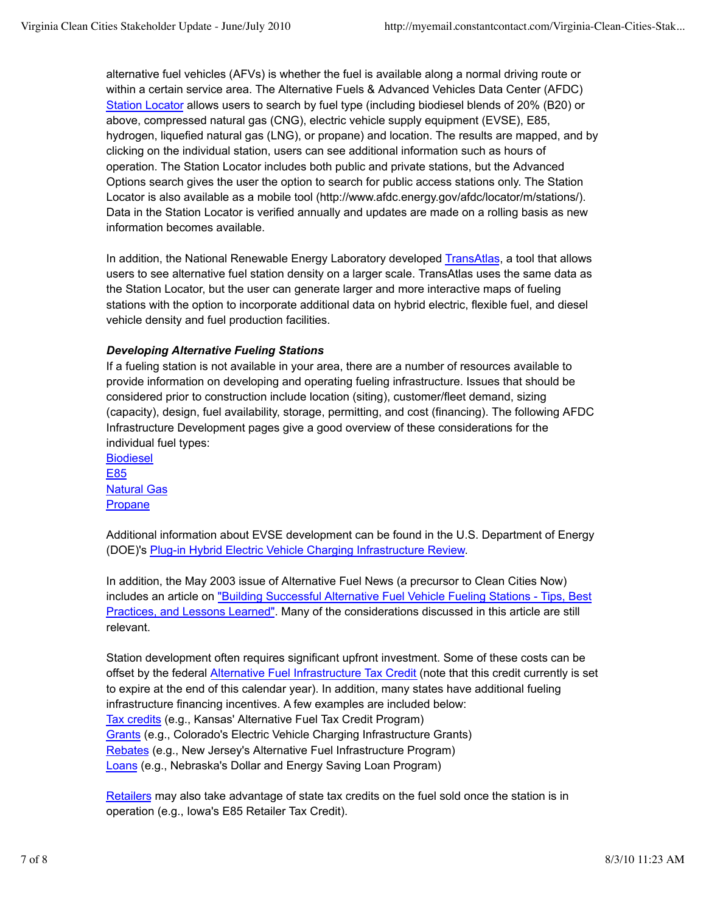alternative fuel vehicles (AFVs) is whether the fuel is available along a normal driving route or within a certain service area. The Alternative Fuels & Advanced Vehicles Data Center (AFDC) Station Locator allows users to search by fuel type (including biodiesel blends of 20% (B20) or above, compressed natural gas (CNG), electric vehicle supply equipment (EVSE), E85, hydrogen, liquefied natural gas (LNG), or propane) and location. The results are mapped, and by clicking on the individual station, users can see additional information such as hours of operation. The Station Locator includes both public and private stations, but the Advanced Options search gives the user the option to search for public access stations only. The Station Locator is also available as a mobile tool (http://www.afdc.energy.gov/afdc/locator/m/stations/). Data in the Station Locator is verified annually and updates are made on a rolling basis as new information becomes available.

In addition, the National Renewable Energy Laboratory developed TransAtlas, a tool that allows users to see alternative fuel station density on a larger scale. TransAtlas uses the same data as the Station Locator, but the user can generate larger and more interactive maps of fueling stations with the option to incorporate additional data on hybrid electric, flexible fuel, and diesel vehicle density and fuel production facilities.

## *Developing Alternative Fueling Stations*

If a fueling station is not available in your area, there are a number of resources available to provide information on developing and operating fueling infrastructure. Issues that should be considered prior to construction include location (siting), customer/fleet demand, sizing (capacity), design, fuel availability, storage, permitting, and cost (financing). The following AFDC Infrastructure Development pages give a good overview of these considerations for the individual fuel types:

Biodiesel E85 Natural Gas **Propane** 

Additional information about EVSE development can be found in the U.S. Department of Energy (DOE)'s Plug-in Hybrid Electric Vehicle Charging Infrastructure Review.

In addition, the May 2003 issue of Alternative Fuel News (a precursor to Clean Cities Now) includes an article on "Building Successful Alternative Fuel Vehicle Fueling Stations - Tips, Best Practices, and Lessons Learned". Many of the considerations discussed in this article are still relevant.

Station development often requires significant upfront investment. Some of these costs can be offset by the federal Alternative Fuel Infrastructure Tax Credit (note that this credit currently is set to expire at the end of this calendar year). In addition, many states have additional fueling infrastructure financing incentives. A few examples are included below: Tax credits (e.g., Kansas' Alternative Fuel Tax Credit Program) Grants (e.g., Colorado's Electric Vehicle Charging Infrastructure Grants) Rebates (e.g., New Jersey's Alternative Fuel Infrastructure Program) Loans (e.g., Nebraska's Dollar and Energy Saving Loan Program)

Retailers may also take advantage of state tax credits on the fuel sold once the station is in operation (e.g., Iowa's E85 Retailer Tax Credit).